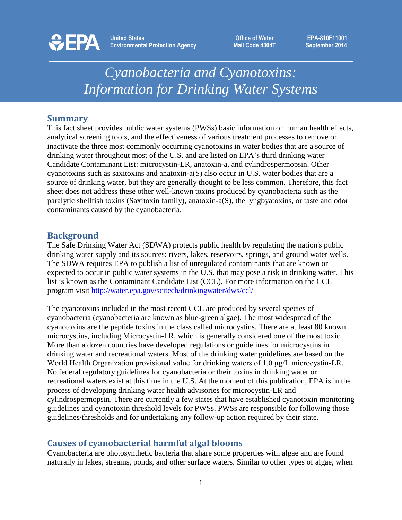

**EPA-810F11001 September 2014**

# *Cyanobacteria and Cyanotoxins: Information for Drinking Water Systems*

## **Summary**

This fact sheet provides public water systems (PWSs) basic information on human health effects, analytical screening tools, and the effectiveness of various treatment processes to remove or inactivate the three most commonly occurring cyanotoxins in water bodies that are a source of drinking water throughout most of the U.S. and are listed on EPA's third drinking water Candidate Contaminant List: microcystin-LR, anatoxin-a, and cylindrospermopsin. Other cyanotoxins such as saxitoxins and anatoxin-a(S) also occur in U.S. water bodies that are a source of drinking water, but they are generally thought to be less common. Therefore, this fact sheet does not address these other well-known toxins produced by cyanobacteria such as the paralytic shellfish toxins (Saxitoxin family), anatoxin-a(S), the lyngbyatoxins, or taste and odor contaminants caused by the cyanobacteria.

#### **Background**

The Safe Drinking Water Act (SDWA) protects public health by regulating the nation's public drinking water supply and its sources: rivers, lakes, reservoirs, springs, and ground water wells. The SDWA requires EPA to publish a list of unregulated contaminants that are known or expected to occur in public water systems in the U.S. that may pose a risk in drinking water. This list is known as the Contaminant Candidate List (CCL). For more information on the CCL program visit<http://water.epa.gov/scitech/drinkingwater/dws/ccl/>

The cyanotoxins included in the most recent CCL are produced by several species of cyanobacteria (cyanobacteria are known as blue-green algae). The most widespread of the cyanotoxins are the peptide toxins in the class called microcystins. There are at least 80 known microcystins, including Microcystin-LR, which is generally considered one of the most toxic. More than a dozen countries have developed regulations or guidelines for microcystins in drinking water and recreational waters. Most of the drinking water guidelines are based on the World Health Organization provisional value for drinking waters of 1.0 μg/L microcystin-LR. No federal regulatory guidelines for cyanobacteria or their toxins in drinking water or recreational waters exist at this time in the U.S. At the moment of this publication, EPA is in the process of developing drinking water health advisories for microcystin-LR and cylindrospermopsin. There are currently a few states that have established cyanotoxin monitoring guidelines and cyanotoxin threshold levels for PWSs. PWSs are responsible for following those guidelines/thresholds and for undertaking any follow-up action required by their state.

## **Causes of cyanobacterial harmful algal blooms**

Cyanobacteria are photosynthetic bacteria that share some properties with algae and are found naturally in lakes, streams, ponds, and other surface waters. Similar to other types of algae, when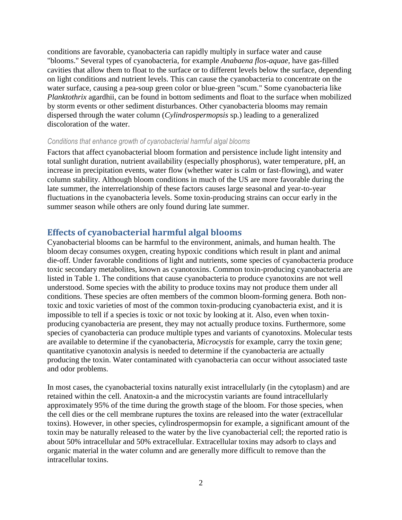conditions are favorable, cyanobacteria can rapidly multiply in surface water and cause "blooms." Several types of cyanobacteria, for example *Anabaena flos-aquae,* have gas-filled cavities that allow them to float to the surface or to different levels below the surface, depending on light conditions and nutrient levels. This can cause the cyanobacteria to concentrate on the water surface, causing a pea-soup green color or blue-green "scum." Some cyanobacteria like *Planktothrix* agardhii, can be found in bottom sediments and float to the surface when mobilized by storm events or other sediment disturbances. Other cyanobacteria blooms may remain dispersed through the water column (*Cylindrospermopsis* sp.) leading to a generalized discoloration of the water.

#### *Conditions that enhance growth of cyanobacterial harmful algal blooms*

Factors that affect cyanobacterial bloom formation and persistence include light intensity and total sunlight duration, nutrient availability (especially phosphorus), water temperature, pH, an increase in precipitation events, water flow (whether water is calm or fast-flowing), and water column stability. Although bloom conditions in much of the US are more favorable during the late summer, the interrelationship of these factors causes large seasonal and year-to-year fluctuations in the cyanobacteria levels. Some toxin-producing strains can occur early in the summer season while others are only found during late summer.

## **Effects of cyanobacterial harmful algal blooms**

Cyanobacterial blooms can be harmful to the environment, animals, and human health. The bloom decay consumes oxygen, creating hypoxic conditions which result in plant and animal die-off. Under favorable conditions of light and nutrients, some species of cyanobacteria produce toxic secondary metabolites, known as cyanotoxins. Common toxin-producing cyanobacteria are listed in Table 1. The conditions that cause cyanobacteria to produce cyanotoxins are not well understood. Some species with the ability to produce toxins may not produce them under all conditions. These species are often members of the common bloom-forming genera. Both nontoxic and toxic varieties of most of the common toxin-producing cyanobacteria exist, and it is impossible to tell if a species is toxic or not toxic by looking at it. Also, even when toxinproducing cyanobacteria are present, they may not actually produce toxins. Furthermore, some species of cyanobacteria can produce multiple types and variants of cyanotoxins. Molecular tests are available to determine if the cyanobacteria, *Microcystis* for example, carry the toxin gene; quantitative cyanotoxin analysis is needed to determine if the cyanobacteria are actually producing the toxin. Water contaminated with cyanobacteria can occur without associated taste and odor problems.

In most cases, the cyanobacterial toxins naturally exist intracellularly (in the cytoplasm) and are retained within the cell. Anatoxin-a and the microcystin variants are found intracellularly approximately 95% of the time during the growth stage of the bloom. For those species, when the cell dies or the cell membrane ruptures the toxins are released into the water (extracellular toxins). However, in other species, cylindrospermopsin for example, a significant amount of the toxin may be naturally released to the water by the live cyanobacterial cell; the reported ratio is about 50% intracellular and 50% extracellular. Extracellular toxins may adsorb to clays and organic material in the water column and are generally more difficult to remove than the intracellular toxins.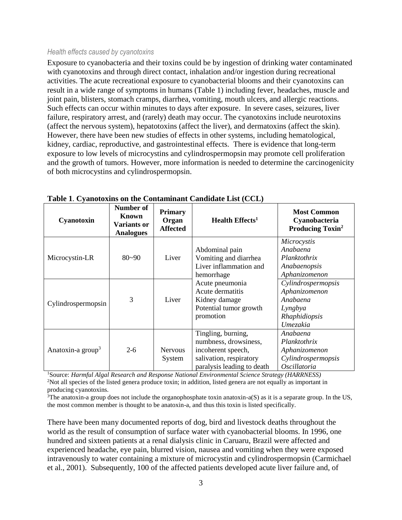#### *Health effects caused by cyanotoxins*

Exposure to cyanobacteria and their toxins could be by ingestion of drinking water contaminated with cyanotoxins and through direct contact, inhalation and/or ingestion during recreational activities. The acute recreational exposure to cyanobacterial blooms and their cyanotoxins can result in a wide range of symptoms in humans (Table 1) including fever, headaches, muscle and joint pain, blisters, stomach cramps, diarrhea, vomiting, mouth ulcers, and allergic reactions. Such effects can occur within minutes to days after exposure. In severe cases, seizures, liver failure, respiratory arrest, and (rarely) death may occur. The cyanotoxins include neurotoxins (affect the nervous system), hepatotoxins (affect the liver), and dermatoxins (affect the skin). However, there have been new studies of effects in other systems, including hematological, kidney, cardiac, reproductive, and gastrointestinal effects. There is evidence that long-term exposure to low levels of microcystins and cylindrospermopsin may promote cell proliferation and the growth of tumors. However, more information is needed to determine the carcinogenicity of both microcystins and cylindrospermopsin.

| Cyanotoxin                    | Number of<br>Known<br><b>Variants or</b><br><b>Analogues</b> | <b>Primary</b><br>Organ<br><b>Affected</b> | <b>Health Effects</b> <sup>1</sup>                                                                                         | <b>Most Common</b><br>Cyanobacteria<br><b>Producing Toxin<sup>2</sup></b>               |
|-------------------------------|--------------------------------------------------------------|--------------------------------------------|----------------------------------------------------------------------------------------------------------------------------|-----------------------------------------------------------------------------------------|
| Microcystin-LR                | $80 - 90$                                                    | Liver                                      | Abdominal pain<br>Vomiting and diarrhea<br>Liver inflammation and<br>hemorrhage                                            | Microcystis<br>Anabaena<br>Planktothrix<br>Anabaenopsis<br>Aphanizomenon                |
| Cylindrospermopsin            | 3                                                            | Liver                                      | Acute pneumonia<br>Acute dermatitis<br>Kidney damage<br>Potential tumor growth<br>promotion                                | Cylindrospermopsis<br>Aphanizomenon<br>Anabaena<br>Lyngbya<br>Rhaphidiopsis<br>Umezakia |
| Anatoxin-a group <sup>3</sup> | $2 - 6$                                                      | <b>Nervous</b><br>System                   | Tingling, burning,<br>numbness, drowsiness,<br>incoherent speech,<br>salivation, respiratory<br>paralysis leading to death | Anabaena<br>Planktothrix<br>Aphanizomenon<br>Cylindrospermopsis<br><i>Oscillatoria</i>  |

#### **Table 1**. **Cyanotoxins on the Contaminant Candidate List (CCL)**

<sup>1</sup>Source: *Harmful Algal Research and Response National Environmental Science Strategy (HARRNESS)*  <sup>2</sup>Not all species of the listed genera produce toxin; in addition, listed genera are not equally as important in producing cyanotoxins.

 $3$ The anatoxin-a group does not include the organophosphate toxin anatoxin-a(S) as it is a separate group. In the US, the most common member is thought to be anatoxin-a, and thus this toxin is listed specifically.

There have been many documented reports of dog, bird and livestock deaths throughout the world as the result of consumption of surface water with cyanobacterial blooms. In 1996, one hundred and sixteen patients at a renal dialysis clinic in Caruaru, Brazil were affected and experienced headache, eye pain, blurred vision, nausea and vomiting when they were exposed intravenously to water containing a mixture of microcystin and cylindrospermopsin (Carmichael et al., 2001). Subsequently, 100 of the affected patients developed acute liver failure and, of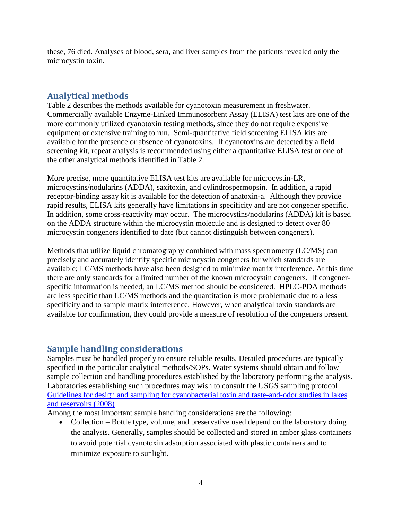these, 76 died. Analyses of blood, sera, and liver samples from the patients revealed only the microcystin toxin.

## **Analytical methods**

Table 2 describes the methods available for cyanotoxin measurement in freshwater. Commercially available Enzyme-Linked Immunosorbent Assay (ELISA) test kits are one of the more commonly utilized cyanotoxin testing methods, since they do not require expensive equipment or extensive training to run. Semi-quantitative field screening ELISA kits are available for the presence or absence of cyanotoxins. If cyanotoxins are detected by a field screening kit, repeat analysis is recommended using either a quantitative ELISA test or one of the other analytical methods identified in Table 2.

More precise, more quantitative ELISA test kits are available for microcystin-LR, microcystins/nodularins (ADDA), saxitoxin, and cylindrospermopsin. In addition, a rapid receptor-binding assay kit is available for the detection of anatoxin-a. Although they provide rapid results, ELISA kits generally have limitations in specificity and are not congener specific. In addition, some cross-reactivity may occur. The microcystins/nodularins (ADDA) kit is based on the ADDA structure within the microcystin molecule and is designed to detect over 80 microcystin congeners identified to date (but cannot distinguish between congeners).

Methods that utilize liquid chromatography combined with mass spectrometry (LC/MS) can precisely and accurately identify specific microcystin congeners for which standards are available; LC/MS methods have also been designed to minimize matrix interference. At this time there are only standards for a limited number of the known microcystin congeners. If congenerspecific information is needed, an LC/MS method should be considered. HPLC-PDA methods are less specific than LC/MS methods and the quantitation is more problematic due to a less specificity and to sample matrix interference. However, when analytical toxin standards are available for confirmation, they could provide a measure of resolution of the congeners present.

#### **Sample handling considerations**

Samples must be handled properly to ensure reliable results. Detailed procedures are typically specified in the particular analytical methods/SOPs. Water systems should obtain and follow sample collection and handling procedures established by the laboratory performing the analysis. Laboratories establishing such procedures may wish to consult the USGS sampling protocol [Guidelines for design and sampling for cyanobacterial toxin and taste-and-odor studies in lakes](http://pubs.usgs.gov/sir/2008/5038/)  [and reservoirs \(2008\)](http://pubs.usgs.gov/sir/2008/5038/) 

Among the most important sample handling considerations are the following:

• Collection – Bottle type, volume, and preservative used depend on the laboratory doing the analysis. Generally, samples should be collected and stored in amber glass containers to avoid potential cyanotoxin adsorption associated with plastic containers and to minimize exposure to sunlight.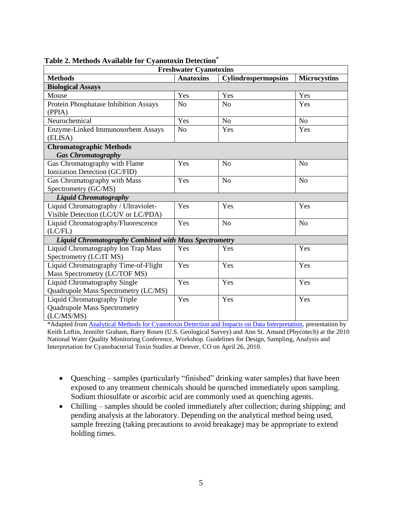| <b>Freshwater Cyanotoxins</b>                                |                  |                            |                     |  |  |  |
|--------------------------------------------------------------|------------------|----------------------------|---------------------|--|--|--|
| <b>Methods</b>                                               | <b>Anatoxins</b> | <b>Cylindrospermopsins</b> | <b>Microcystins</b> |  |  |  |
| <b>Biological Assays</b>                                     |                  |                            |                     |  |  |  |
| Mouse                                                        | Yes              | Yes                        | Yes                 |  |  |  |
| Protein Phosphatase Inhibition Assays                        | N <sub>o</sub>   | No                         | Yes                 |  |  |  |
| (PPIA)                                                       |                  |                            |                     |  |  |  |
| Neurochemical                                                | Yes              | N <sub>o</sub>             | N <sub>o</sub>      |  |  |  |
| Enzyme-Linked Immunosorbent Assays                           | N <sub>o</sub>   | Yes                        | Yes                 |  |  |  |
| (ELISA)                                                      |                  |                            |                     |  |  |  |
| <b>Chromatographic Methods</b>                               |                  |                            |                     |  |  |  |
| <b>Gas Chromatography</b>                                    |                  |                            |                     |  |  |  |
| Gas Chromatography with Flame                                | Yes              | N <sub>o</sub>             | N <sub>o</sub>      |  |  |  |
| Ionization Detection (GC/FID)                                |                  |                            |                     |  |  |  |
| Gas Chromatography with Mass                                 | Yes              | N <sub>o</sub>             | N <sub>o</sub>      |  |  |  |
| Spectrometry (GC/MS)                                         |                  |                            |                     |  |  |  |
| <b>Liquid Chromatography</b>                                 |                  |                            |                     |  |  |  |
| Liquid Chromatography / Ultraviolet-                         | Yes              | Yes                        | Yes                 |  |  |  |
| Visible Detection (LC/UV or LC/PDA)                          |                  |                            |                     |  |  |  |
| Liquid Chromatography/Fluorescence                           | Yes              | N <sub>o</sub>             | N <sub>o</sub>      |  |  |  |
| (LC/FL)                                                      |                  |                            |                     |  |  |  |
| <b>Liquid Chromatography Combined with Mass Spectrometry</b> |                  |                            |                     |  |  |  |
| Liquid Chromatography Ion Trap Mass                          | Yes              | Yes                        | Yes                 |  |  |  |
| Spectrometry (LC/IT MS)                                      |                  |                            |                     |  |  |  |
| Liquid Chromatography Time-of-Flight                         | Yes              | Yes                        | Yes                 |  |  |  |
| Mass Spectrometry (LC/TOF MS)                                |                  |                            |                     |  |  |  |
| <b>Liquid Chromatography Single</b>                          | Yes              | Yes                        | Yes                 |  |  |  |
| Quadrupole Mass Spectrometry (LC/MS)                         |                  |                            |                     |  |  |  |
| <b>Liquid Chromatography Triple</b>                          | Yes              | Yes                        | Yes                 |  |  |  |
| <b>Quadrupole Mass Spectrometry</b>                          |                  |                            |                     |  |  |  |
| (LC/MS/MS)                                                   |                  |                            |                     |  |  |  |

| Table 2. Methods Available for Cyanotoxin Detection* |  |  |  |  |
|------------------------------------------------------|--|--|--|--|
|------------------------------------------------------|--|--|--|--|

\*Adapted from [Analytical Methods for Cyanotoxin Detection and Impacts on Data Interpretation,](http://ks.water.usgs.gov/static_pages/studies/water_quality/cyanobacteria/loftin-analytical-Methods.pdf) presentation by Keith Loftin, Jennifer Graham, Barry Rosen (U.S. Geological Survey) and Ann St. Amand (Phycotech) at the 2010 National Water Quality Monitoring Conference, Workshop. Guidelines for Design, Sampling, Analysis and Interpretation for Cyanobacterial Toxin Studies at Denver, CO on April 26, 2010.

- Quenching samples (particularly "finished" drinking water samples) that have been exposed to any treatment chemicals should be quenched immediately upon sampling. Sodium thiosulfate or ascorbic acid are commonly used as quenching agents.
- Chilling samples should be cooled immediately after collection; during shipping; and pending analysis at the laboratory. Depending on the analytical method being used, sample freezing (taking precautions to avoid breakage) may be appropriate to extend holding times.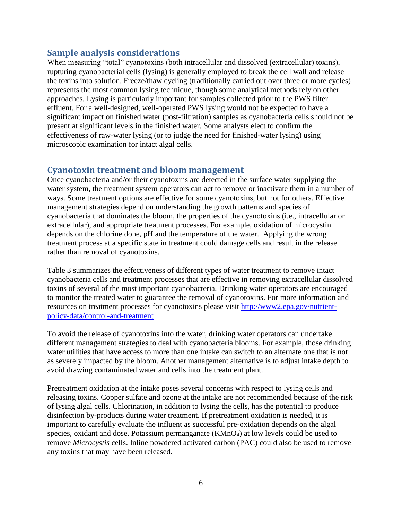#### **Sample analysis considerations**

When measuring "total" cyanotoxins (both intracellular and dissolved (extracellular) toxins), rupturing cyanobacterial cells (lysing) is generally employed to break the cell wall and release the toxins into solution. Freeze/thaw cycling (traditionally carried out over three or more cycles) represents the most common lysing technique, though some analytical methods rely on other approaches. Lysing is particularly important for samples collected prior to the PWS filter effluent. For a well-designed, well-operated PWS lysing would not be expected to have a significant impact on finished water (post-filtration) samples as cyanobacteria cells should not be present at significant levels in the finished water. Some analysts elect to confirm the effectiveness of raw-water lysing (or to judge the need for finished-water lysing) using microscopic examination for intact algal cells.

#### **Cyanotoxin treatment and bloom management**

Once cyanobacteria and/or their cyanotoxins are detected in the surface water supplying the water system, the treatment system operators can act to remove or inactivate them in a number of ways. Some treatment options are effective for some cyanotoxins, but not for others. Effective management strategies depend on understanding the growth patterns and species of cyanobacteria that dominates the bloom, the properties of the cyanotoxins (i.e., intracellular or extracellular), and appropriate treatment processes. For example, oxidation of microcystin depends on the chlorine done, pH and the temperature of the water. Applying the wrong treatment process at a specific state in treatment could damage cells and result in the release rather than removal of cyanotoxins.

Table 3 summarizes the effectiveness of different types of water treatment to remove intact cyanobacteria cells and treatment processes that are effective in removing extracellular dissolved toxins of several of the most important cyanobacteria. Drinking water operators are encouraged to monitor the treated water to guarantee the removal of cyanotoxins. For more information and resources on treatment processes for cyanotoxins please visit [http://www2.epa.gov/nutrient](http://www2.epa.gov/nutrient-policy-data/control-and-treatment)[policy-data/control-and-treatment](http://www2.epa.gov/nutrient-policy-data/control-and-treatment)

To avoid the release of cyanotoxins into the water, drinking water operators can undertake different management strategies to deal with cyanobacteria blooms. For example, those drinking water utilities that have access to more than one intake can switch to an alternate one that is not as severely impacted by the bloom. Another management alternative is to adjust intake depth to avoid drawing contaminated water and cells into the treatment plant.

Pretreatment oxidation at the intake poses several concerns with respect to lysing cells and releasing toxins. Copper sulfate and ozone at the intake are not recommended because of the risk of lysing algal cells. Chlorination, in addition to lysing the cells, has the potential to produce disinfection by-products during water treatment. If pretreatment oxidation is needed, it is important to carefully evaluate the influent as successful pre-oxidation depends on the algal species, oxidant and dose. Potassium permanganate (KMnO<sub>4</sub>) at low levels could be used to remove *Microcystis* cells. Inline powdered activated carbon (PAC) could also be used to remove any toxins that may have been released.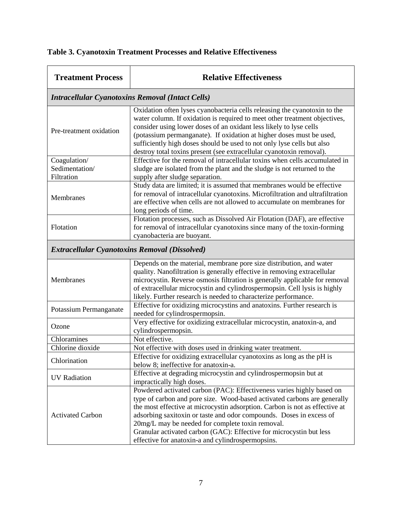| <b>Treatment Process</b>                                | <b>Relative Effectiveness</b>                                                                                                                                                                                                                                                                                                                                                                                                                                                           |  |  |  |
|---------------------------------------------------------|-----------------------------------------------------------------------------------------------------------------------------------------------------------------------------------------------------------------------------------------------------------------------------------------------------------------------------------------------------------------------------------------------------------------------------------------------------------------------------------------|--|--|--|
| <b>Intracellular Cyanotoxins Removal (Intact Cells)</b> |                                                                                                                                                                                                                                                                                                                                                                                                                                                                                         |  |  |  |
| Pre-treatment oxidation                                 | Oxidation often lyses cyanobacteria cells releasing the cyanotoxin to the<br>water column. If oxidation is required to meet other treatment objectives,<br>consider using lower doses of an oxidant less likely to lyse cells<br>(potassium permanganate). If oxidation at higher doses must be used,<br>sufficiently high doses should be used to not only lyse cells but also<br>destroy total toxins present (see extracellular cyanotoxin removal).                                 |  |  |  |
| Coagulation/<br>Sedimentation/<br>Filtration            | Effective for the removal of intracellular toxins when cells accumulated in<br>sludge are isolated from the plant and the sludge is not returned to the<br>supply after sludge separation.                                                                                                                                                                                                                                                                                              |  |  |  |
| Membranes                                               | Study data are limited; it is assumed that membranes would be effective<br>for removal of intracellular cyanotoxins. Microfiltration and ultrafiltration<br>are effective when cells are not allowed to accumulate on membranes for<br>long periods of time.                                                                                                                                                                                                                            |  |  |  |
| Flotation                                               | Flotation processes, such as Dissolved Air Flotation (DAF), are effective<br>for removal of intracellular cyanotoxins since many of the toxin-forming<br>cyanobacteria are buoyant.                                                                                                                                                                                                                                                                                                     |  |  |  |
| <b>Extracellular Cyanotoxins Removal (Dissolved)</b>    |                                                                                                                                                                                                                                                                                                                                                                                                                                                                                         |  |  |  |
| Membranes                                               | Depends on the material, membrane pore size distribution, and water<br>quality. Nanofiltration is generally effective in removing extracellular<br>microcystin. Reverse osmosis filtration is generally applicable for removal<br>of extracellular microcystin and cylindrospermopsin. Cell lysis is highly<br>likely. Further research is needed to characterize performance.                                                                                                          |  |  |  |
| Potassium Permanganate                                  | Effective for oxidizing microcystins and anatoxins. Further research is<br>needed for cylindrospermopsin.                                                                                                                                                                                                                                                                                                                                                                               |  |  |  |
| Ozone                                                   | Very effective for oxidizing extracellular microcystin, anatoxin-a, and<br>cylindrospermopsin.                                                                                                                                                                                                                                                                                                                                                                                          |  |  |  |
| Chloramines                                             | Not effective.                                                                                                                                                                                                                                                                                                                                                                                                                                                                          |  |  |  |
| Chlorine dioxide<br>Chlorination                        | Not effective with doses used in drinking water treatment.<br>Effective for oxidizing extracellular cyanotoxins as long as the pH is<br>below 8; ineffective for anatoxin-a.                                                                                                                                                                                                                                                                                                            |  |  |  |
| <b>UV</b> Radiation                                     | Effective at degrading microcystin and cylindrospermopsin but at<br>impractically high doses.                                                                                                                                                                                                                                                                                                                                                                                           |  |  |  |
| <b>Activated Carbon</b>                                 | Powdered activated carbon (PAC): Effectiveness varies highly based on<br>type of carbon and pore size. Wood-based activated carbons are generally<br>the most effective at microcystin adsorption. Carbon is not as effective at<br>adsorbing saxitoxin or taste and odor compounds. Doses in excess of<br>20mg/L may be needed for complete toxin removal.<br>Granular activated carbon (GAC): Effective for microcystin but less<br>effective for anatoxin-a and cylindrospermopsins. |  |  |  |

## **Table 3. Cyanotoxin Treatment Processes and Relative Effectiveness**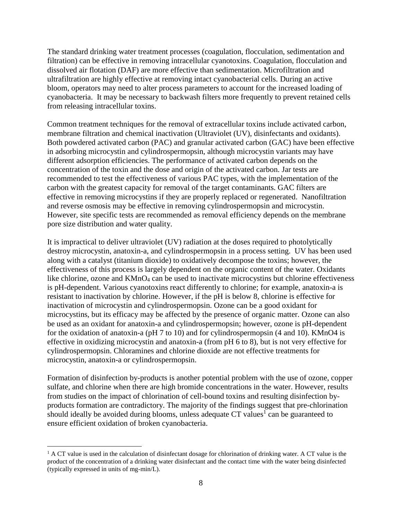The standard drinking water treatment processes (coagulation, flocculation, sedimentation and filtration) can be effective in removing intracellular cyanotoxins. Coagulation, flocculation and dissolved air flotation (DAF) are more effective than sedimentation. Microfiltration and ultrafiltration are highly effective at removing intact cyanobacterial cells. During an active bloom, operators may need to alter process parameters to account for the increased loading of cyanobacteria. It may be necessary to backwash filters more frequently to prevent retained cells from releasing intracellular toxins.

Common treatment techniques for the removal of extracellular toxins include activated carbon, membrane filtration and chemical inactivation (Ultraviolet (UV), disinfectants and oxidants). Both powdered activated carbon (PAC) and granular activated carbon (GAC) have been effective in adsorbing microcystin and cylindrospermopsin, although microcystin variants may have different adsorption efficiencies. The performance of activated carbon depends on the concentration of the toxin and the dose and origin of the activated carbon. Jar tests are recommended to test the effectiveness of various PAC types, with the implementation of the carbon with the greatest capacity for removal of the target contaminants. GAC filters are effective in removing microcystins if they are properly replaced or regenerated. Nanofiltration and reverse osmosis may be effective in removing cylindrospermopsin and microcystin. However, site specific tests are recommended as removal efficiency depends on the membrane pore size distribution and water quality.

It is impractical to deliver ultraviolet (UV) radiation at the doses required to photolytically destroy microcystin, anatoxin-a, and cylindrospermopsin in a process setting. UV has been used along with a catalyst (titanium dioxide) to oxidatively decompose the toxins; however, the effectiveness of this process is largely dependent on the organic content of the water. Oxidants like chlorine, ozone and KMnO<sub>4</sub> can be used to inactivate microcystins but chlorine effectiveness is pH-dependent. Various cyanotoxins react differently to chlorine; for example, anatoxin-a is resistant to inactivation by chlorine. However, if the pH is below 8, chlorine is effective for inactivation of microcystin and cylindrospermopsin. Ozone can be a good oxidant for microcystins, but its efficacy may be affected by the presence of organic matter. Ozone can also be used as an oxidant for anatoxin-a and cylindrospermopsin; however, ozone is pH-dependent for the oxidation of anatoxin-a (pH 7 to 10) and for cylindrospermopsin (4 and 10). KMnO4 is effective in oxidizing microcystin and anatoxin-a (from pH 6 to 8), but is not very effective for cylindrospermopsin. Chloramines and chlorine dioxide are not effective treatments for microcystin, anatoxin-a or cylindrospermopsin.

Formation of disinfection by-products is another potential problem with the use of ozone, copper sulfate, and chlorine when there are high bromide concentrations in the water. However, results from studies on the impact of chlorination of cell-bound toxins and resulting disinfection byproducts formation are contradictory. The majority of the findings suggest that pre-chlorination should ideally be avoided during blooms, unless adequate  $CT$  values<sup>1</sup> can be guaranteed to ensure efficient oxidation of broken cyanobacteria.

 $\overline{a}$ 

<sup>&</sup>lt;sup>1</sup> A CT value is used in the calculation of disinfectant dosage for chlorination of drinking water. A CT value is the product of the concentration of a drinking water disinfectant and the contact time with the water being disinfected (typically expressed in units of mg-min/L).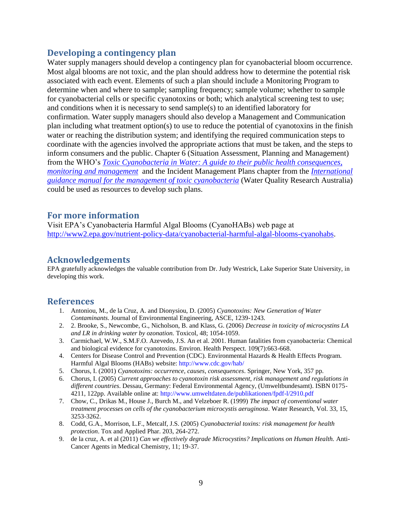#### **Developing a contingency plan**

Water supply managers should develop a contingency plan for cyanobacterial bloom occurrence. Most algal blooms are not toxic, and the plan should address how to determine the potential risk associated with each event. Elements of such a plan should include a Monitoring Program to determine when and where to sample; sampling frequency; sample volume; whether to sample for cyanobacterial cells or specific cyanotoxins or both; which analytical screening test to use; and conditions when it is necessary to send sample(s) to an identified laboratory for confirmation. Water supply managers should also develop a Management and Communication plan including what treatment option(s) to use to reduce the potential of cyanotoxins in the finish water or reaching the distribution system; and identifying the required communication steps to coordinate with the agencies involved the appropriate actions that must be taken, and the steps to inform consumers and the public. Chapter 6 (Situation Assessment, Planning and Management) from the WHO's *[Toxic Cyanobacteria in Water: A guide to their public health consequences,](http://www.who.int/water_sanitation_health/resourcesquality/toxcyanbegin.pdf)  [monitoring and management](http://www.who.int/water_sanitation_health/resourcesquality/toxcyanbegin.pdf)* and the Incident Management Plans chapter from the *[International](http://www.waterra.com.au/cyanobacteria-manual/Chapter6.htm)  [guidance manual for the management of toxic cyanobacteria](http://www.waterra.com.au/cyanobacteria-manual/Chapter6.htm)* (Water Quality Research Australia) could be used as resources to develop such plans.

#### **For more information**

Visit EPA's Cyanobacteria Harmful Algal Blooms (CyanoHABs) web page at [http://www2.epa.gov/nutrient-policy-data/cyanobacterial-harmful-algal-blooms-cyanohabs.](http://www2.epa.gov/nutrient-policy-data/cyanobacterial-harmful-algal-blooms-cyanohabs)

#### **Acknowledgements**

EPA gratefully acknowledges the valuable contribution from Dr. Judy Westrick, Lake Superior State University, in developing this work.

#### **References**

- 1. Antoniou, M., de la Cruz, A. and Dionysiou, D. (2005) *Cyanotoxins: New Generation of Water Contaminants*. Journal of Environmental Engineering, ASCE, 1239-1243.
- 2. 2. Brooke, S., Newcombe, G., Nicholson, B. and Klass, G. (2006) *Decrease in toxicity of microcystins LA and LR in drinking water by ozonation.* Toxicol, 48; 1054-1059.
- 3. Carmichael, W.W., S.M.F.O. Azevedo, J.S. An et al. 2001. Human fatalities from cyanobacteria: Chemical and biological evidence for cyanotoxins. Environ. Health Perspect. 109(7):663-668.
- 4. Centers for Disease Control and Prevention (CDC). Environmental Hazards & Health Effects Program. Harmful Algal Blooms (HABs) website: http://www.cdc.gov/hab/
- 5. Chorus, I. (2001) *Cyanotoxins: occurrence, causes, consequences*. Springer, New York, 357 pp.
- 6. Chorus, I. (2005) *Current approaches to cyanotoxin risk assessment, risk management and regulations in different countries*. Dessau, Germany: Federal Environmental Agency, (Umweltbundesamt). ISBN 0175- 4211, 122pp. Available online at: http://www.umweltdaten.de/publikationen/fpdf-l/2910.pdf
- 7. Chow, C., Drikas M., House J., Burch M., and Velzeboer R. (1999) *The impact of conventional water treatment processes on cells of the cyanobacterium microcystis aeruginosa*. Water Research, Vol. 33, 15, 3253-3262.
- 8. Codd, G.A., Morrison, L.F., Metcalf, J.S. (2005) *Cyanobacterial toxins: risk management for health protection*. Tox and Applied Phar. 203, 264-272.
- 9. de la cruz, A. et al (2011) *Can we effectively degrade Microcystins? Implications on Human Health.* Anti-Cancer Agents in Medical Chemistry, 11; 19-37.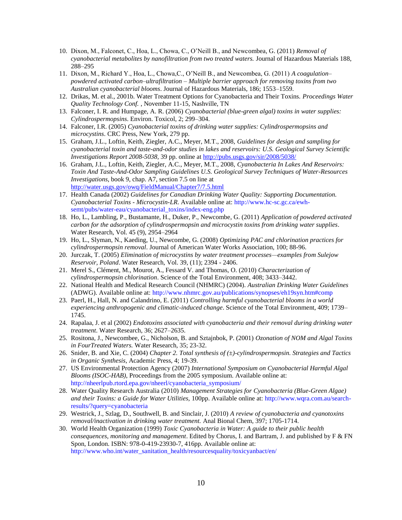- 10. Dixon, M., Falconet, C., Hoa, L., Chowa, C., O'Neill B., and Newcombea, G. (2011) *Removal of cyanobacterial metabolites by nanofiltration from two treated waters.* Journal of Hazardous Materials 188, 288–295
- 11. Dixon, M., Richard Y., Hoa, L., Chowa,C., O'Neill B., and Newcombea, G. (2011) *A coagulation– powdered activated carbon–ultrafiltration – Multiple barrier approach for removing toxins from two Australian cyanobacterial blooms*. Journal of Hazardous Materials, 186; 1553–1559.
- 12. Drikas, M. et al., 2001b. Water Treatment Options for Cyanobacteria and Their Toxins. *Proceedings Water Quality Technology Conf.* , November 11-15, Nashville, TN
- 13. Falconer, I. R. and Humpage, A. R. (2006) *Cyanobacterial (blue-green algal) toxins in water supplies: Cylindrospermopsins*. Environ. Toxicol, 2; 299–304.
- 14. Falconer, I.R. (2005) *Cyanobacterial toxins of drinking water supplies: Cylindrospermopsins and microcystins*. CRC Press, New York, 279 pp.
- 15. Graham, J.L., Loftin, Keith, Ziegler, A.C., Meyer, M.T., 2008, *Guidelines for design and sampling for cyanobacterial toxin and taste-and-odor studies in lakes and reservoirs: U.S. Geological Survey Scientific Investigations Report 2008-5038,* 39 pp. online at<http://pubs.usgs.gov/sir/2008/5038/>
- 16. Graham, J.L., Loftin, Keith, Ziegler, A.C., Meyer, M.T., 2008, *Cyanobacteria In Lakes And Reservoirs: Toxin And Taste-And-Odor Sampling Guidelines U.S. Geological Survey Techniques of Water-Resources Investigations*, book 9, chap. A7, section 7.5 on line at <http://water.usgs.gov/owq/FieldManual/Chapter7/7.5.html>
- 17. Health Canada (2002) *Guidelines for Canadian Drinking Water Quality: Supporting Documentation. Cyanobacterial Toxins - Microcystin-LR*. Available online at: http://www.hc-sc.gc.ca/ewhsemt/pubs/water-eau/cyanobacterial\_toxins/index-eng.php
- 18. Ho, L., Lambling, P., Bustamante, H., Duker, P., Newcombe, G. (2011) *Application of powdered activated carbon for the adsorption of cylindrospermopsin and microcystin toxins from drinking water supplies*. Water Research, Vol. 45 (9), 2954–2964
- 19. Ho, L., Slyman, N., Kaeding, U., Newcombe, G. (2008) *Optimizing PAC and chlorination practices for cylindrospermopsin removal*. Journal of American Water Works Association, 100; 88-96.
- 20. Jurczak, T. (2005) *Elimination of microcystins by water treatment processes—examples from Sulejow Reservoir, Poland*. Water Research, Vol. 39, (11); 2394 - 2406.
- 21. Merel S., Clément, M., Mourot, A., Fessard V. and Thomas, O. (2010) *Characterization of cylindrospermopsin chlorination*. Science of the Total Environment, 408; 3433–3442.
- 22. National Health and Medical Research Council (NHMRC) (2004). *Australian Drinking Water Guidelines*  (ADWG). Available online at: http://www.nhmrc.gov.au/publications/synopses/eh19syn.htm#comp
- 23. Paerl, H., Hall, N. and Calandrino, E. (2011) *Controlling harmful cyanobacterial blooms in a world experiencing anthropogenic and climatic-induced change*. Science of the Total Environment, 409; 1739– 1745.
- 24. Rapalaa, J. et al (2002) *Endotoxins associated with cyanobacteria and their removal during drinking water treatment*. Water Research, 36; 2627–2635.
- 25. Rositona, J., Newcombee, G., Nicholson, B. and Sztajnbok, P. (2001) *Ozonation of NOM and Algal Toxins in FourTreated Waters.* Water Research, 35; 23-32.
- 26. Snider, B. and Xie, C. (2004) *Chapter 2. Total synthesis of (±)-cylindrospermopsin. Strategies and Tactics in Organic Synthesis*, Academic Press, 4; 19-39.
- 27. US Environmental Protection Agency (2007) *International Symposium on Cyanobacterial Harmful Algal Blooms (ISOC-HAB)*, Proceedings from the 2005 symposium. Available online at: http://nheerlpub.rtord.epa.gov/nheerl/cyanobacteria\_symposium/
- 28. Water Quality Research Australia (2010) *Management Strategies for Cyanobacteria (Blue-Green Algae) and their Toxins: a Guide for Water Utilities,* 100pp. Available online at: http://www.wqra.com.au/searchresults/?query=cyanobacteria
- 29. Westrick, J., Szlag, D., Southwell, B. and Sinclair, J. (2010) *A review of cyanobacteria and cyanotoxins removal/inactivation in drinking water treatment.* Anal Bional Chem, 397; 1705-1714.
- 30. World Health Organization (1999) *Toxic Cyanobacteria in Water: A guide to their public health consequences, monitoring and management*. Edited by Chorus, I. and Bartram, J. and published by F & FN Spon, London. ISBN: 978-0-419-23930-7, 416pp. Available online at: http://www.who.int/water\_sanitation\_health/resourcesquality/toxicyanbact/en/